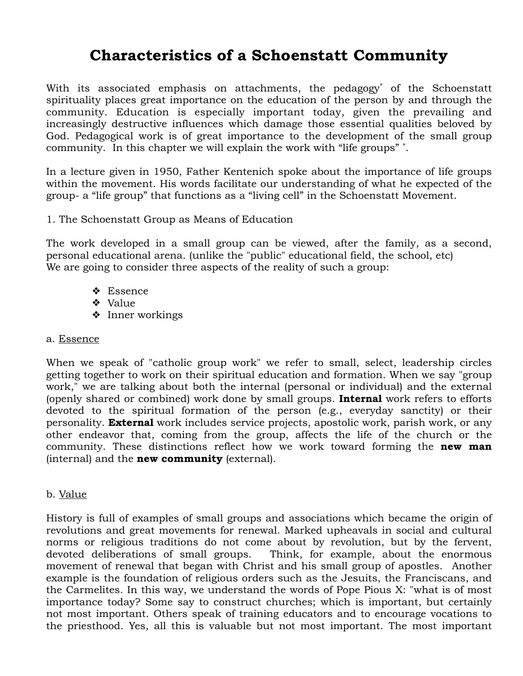# **Characteristics of a Schoenstatt Community**

With its associated emphasis on attachments, the pedagogy\* of the Schoenstatt spirituality places great importance on the education of the person by and through the community. Education is especially important today, given the prevailing and increasingly destructive influences which damage those essential qualities beloved by God. Pedagogical work is of great importance to the development of the small group community. In this chapter we will explain the work with "life groups" \* .

In a lecture given in 1950, Father Kentenich spoke about the importance of life groups within the movement. His words facilitate our understanding of what he expected of the group- a "life group" that functions as a "living cell" in the Schoenstatt Movement.

#### 1. The Schoenstatt Group as Means of Education

The work developed in a small group can be viewed, after the family, as a second, personal educational arena. (unlike the "public" educational field, the school, etc) We are going to consider three aspects of the reality of such a group:

- ❖ Essence
- ❖ Value
- ❖ Inner workings

#### a. Essence

When we speak of "catholic group work" we refer to small, select, leadership circles getting together to work on their spiritual education and formation. When we say "group work," we are talking about both the internal (personal or individual) and the external (openly shared or combined) work done by small groups. **Internal** work refers to efforts devoted to the spiritual formation of the person (e.g., everyday sanctity) or their personality. **External** work includes service projects, apostolic work, parish work, or any other endeavor that, coming from the group, affects the life of the church or the community. These distinctions reflect how we work toward forming the **new man** (internal) and the **new community** (external).

#### b. Value

History is full of examples of small groups and associations which became the origin of revolutions and great movements for renewal. Marked upheavals in social and cultural norms or religious traditions do not come about by revolution, but by the fervent, devoted deliberations of small groups. Think, for example, about the enormous movement of renewal that began with Christ and his small group of apostles. Another example is the foundation of religious orders such as the Jesuits, the Franciscans, and the Carmelites. In this way, we understand the words of Pope Pious X: "what is of most importance today? Some say to construct churches; which is important, but certainly not most important. Others speak of training educators and to encourage vocations to the priesthood. Yes, all this is valuable but not most important. The most important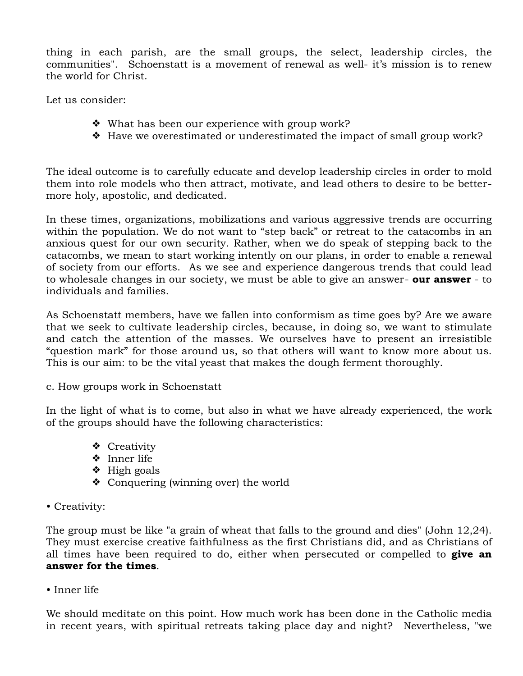thing in each parish, are the small groups, the select, leadership circles, the communities". Schoenstatt is a movement of renewal as well- it's mission is to renew the world for Christ.

Let us consider:

- ❖ What has been our experience with group work?
- ❖ Have we overestimated or underestimated the impact of small group work?

The ideal outcome is to carefully educate and develop leadership circles in order to mold them into role models who then attract, motivate, and lead others to desire to be bettermore holy, apostolic, and dedicated.

In these times, organizations, mobilizations and various aggressive trends are occurring within the population. We do not want to "step back" or retreat to the catacombs in an anxious quest for our own security. Rather, when we do speak of stepping back to the catacombs, we mean to start working intently on our plans, in order to enable a renewal of society from our efforts. As we see and experience dangerous trends that could lead to wholesale changes in our society, we must be able to give an answer- **our answer** - to individuals and families.

As Schoenstatt members, have we fallen into conformism as time goes by? Are we aware that we seek to cultivate leadership circles, because, in doing so, we want to stimulate and catch the attention of the masses. We ourselves have to present an irresistible "question mark" for those around us, so that others will want to know more about us. This is our aim: to be the vital yeast that makes the dough ferment thoroughly.

c. How groups work in Schoenstatt

In the light of what is to come, but also in what we have already experienced, the work of the groups should have the following characteristics:

- ❖ Creativity
- ❖ Inner life
- ❖ High goals
- ❖ Conquering (winning over) the world
- Creativity:

The group must be like "a grain of wheat that falls to the ground and dies" (John 12,24). They must exercise creative faithfulness as the first Christians did, and as Christians of all times have been required to do, either when persecuted or compelled to **give an answer for the times**.

• Inner life

We should meditate on this point. How much work has been done in the Catholic media in recent years, with spiritual retreats taking place day and night? Nevertheless, "we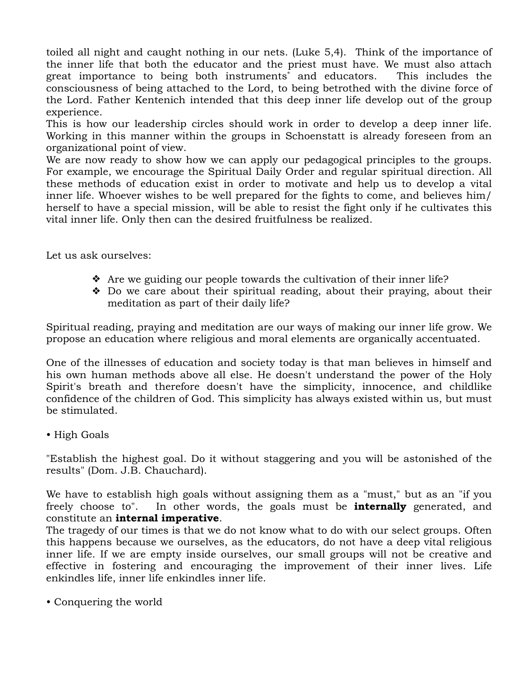toiled all night and caught nothing in our nets. (Luke 5,4). Think of the importance of the inner life that both the educator and the priest must have. We must also attach great importance to being both instruments<sup>\*</sup> and educators. This includes the consciousness of being attached to the Lord, to being betrothed with the divine force of the Lord. Father Kentenich intended that this deep inner life develop out of the group experience.

This is how our leadership circles should work in order to develop a deep inner life. Working in this manner within the groups in Schoenstatt is already foreseen from an organizational point of view.

We are now ready to show how we can apply our pedagogical principles to the groups. For example, we encourage the Spiritual Daily Order and regular spiritual direction. All these methods of education exist in order to motivate and help us to develop a vital inner life. Whoever wishes to be well prepared for the fights to come, and believes him/ herself to have a special mission, will be able to resist the fight only if he cultivates this vital inner life. Only then can the desired fruitfulness be realized.

Let us ask ourselves:

- ❖ Are we guiding our people towards the cultivation of their inner life?
- ❖ Do we care about their spiritual reading, about their praying, about their meditation as part of their daily life?

Spiritual reading, praying and meditation are our ways of making our inner life grow. We propose an education where religious and moral elements are organically accentuated.

One of the illnesses of education and society today is that man believes in himself and his own human methods above all else. He doesn't understand the power of the Holy Spirit's breath and therefore doesn't have the simplicity, innocence, and childlike confidence of the children of God. This simplicity has always existed within us, but must be stimulated.

• High Goals

"Establish the highest goal. Do it without staggering and you will be astonished of the results" (Dom. J.B. Chauchard).

We have to establish high goals without assigning them as a "must," but as an "if you freely choose to". In other words, the goals must be **internally** generated, and constitute an **internal imperative**.

The tragedy of our times is that we do not know what to do with our select groups. Often this happens because we ourselves, as the educators, do not have a deep vital religious inner life. If we are empty inside ourselves, our small groups will not be creative and effective in fostering and encouraging the improvement of their inner lives. Life enkindles life, inner life enkindles inner life.

• Conquering the world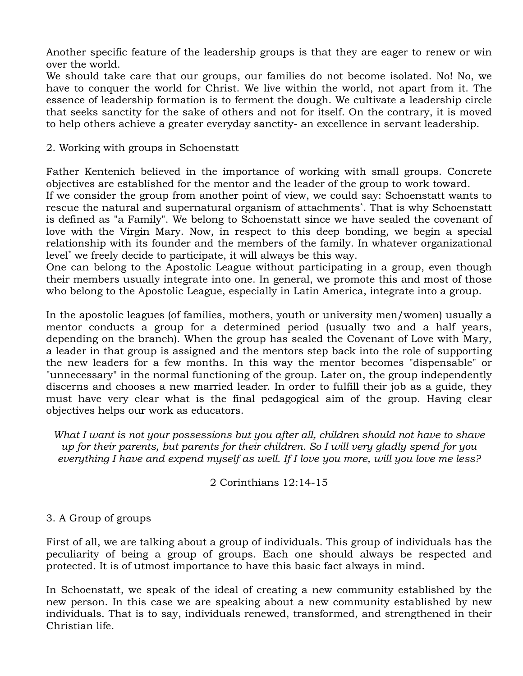Another specific feature of the leadership groups is that they are eager to renew or win over the world.

We should take care that our groups, our families do not become isolated. No! No, we have to conquer the world for Christ. We live within the world, not apart from it. The essence of leadership formation is to ferment the dough. We cultivate a leadership circle that seeks sanctity for the sake of others and not for itself. On the contrary, it is moved to help others achieve a greater everyday sanctity- an excellence in servant leadership.

2. Working with groups in Schoenstatt

Father Kentenich believed in the importance of working with small groups. Concrete objectives are established for the mentor and the leader of the group to work toward.

If we consider the group from another point of view, we could say: Schoenstatt wants to rescue the natural and supernatural organism of attachments\* . That is why Schoenstatt is defined as "a Family". We belong to Schoenstatt since we have sealed the covenant of love with the Virgin Mary. Now, in respect to this deep bonding, we begin a special relationship with its founder and the members of the family. In whatever organizational level\* we freely decide to participate, it will always be this way.

One can belong to the Apostolic League without participating in a group, even though their members usually integrate into one. In general, we promote this and most of those who belong to the Apostolic League, especially in Latin America, integrate into a group.

In the apostolic leagues (of families, mothers, youth or university men/women) usually a mentor conducts a group for a determined period (usually two and a half years, depending on the branch). When the group has sealed the Covenant of Love with Mary, a leader in that group is assigned and the mentors step back into the role of supporting the new leaders for a few months. In this way the mentor becomes "dispensable" or "unnecessary" in the normal functioning of the group. Later on, the group independently discerns and chooses a new married leader. In order to fulfill their job as a guide, they must have very clear what is the final pedagogical aim of the group. Having clear objectives helps our work as educators.

*What I want is not your possessions but you after all, children should not have to shave up for their parents, but parents for their children. So I will very gladly spend for you everything I have and expend myself as well. If I love you more, will you love me less?* 

2 Corinthians 12:14-15

## 3. A Group of groups

First of all, we are talking about a group of individuals. This group of individuals has the peculiarity of being a group of groups. Each one should always be respected and protected. It is of utmost importance to have this basic fact always in mind.

In Schoenstatt, we speak of the ideal of creating a new community established by the new person. In this case we are speaking about a new community established by new individuals. That is to say, individuals renewed, transformed, and strengthened in their Christian life.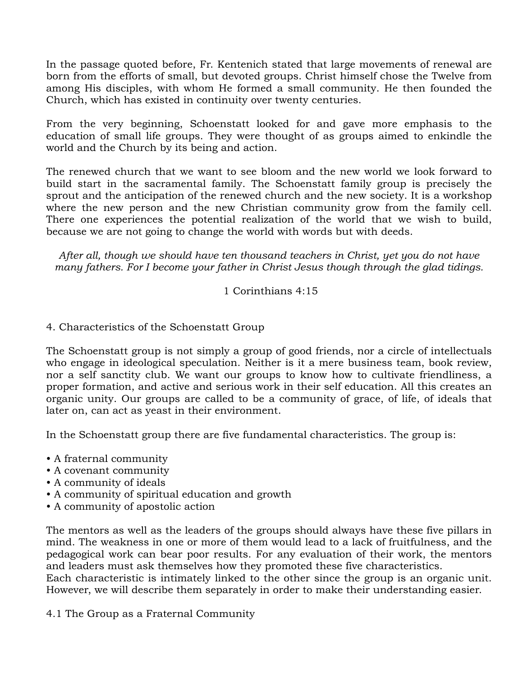In the passage quoted before, Fr. Kentenich stated that large movements of renewal are born from the efforts of small, but devoted groups. Christ himself chose the Twelve from among His disciples, with whom He formed a small community. He then founded the Church, which has existed in continuity over twenty centuries.

From the very beginning, Schoenstatt looked for and gave more emphasis to the education of small life groups. They were thought of as groups aimed to enkindle the world and the Church by its being and action.

The renewed church that we want to see bloom and the new world we look forward to build start in the sacramental family. The Schoenstatt family group is precisely the sprout and the anticipation of the renewed church and the new society. It is a workshop where the new person and the new Christian community grow from the family cell. There one experiences the potential realization of the world that we wish to build, because we are not going to change the world with words but with deeds.

*After all, though we should have ten thousand teachers in Christ, yet you do not have many fathers. For I become your father in Christ Jesus though through the glad tidings.*

## 1 Corinthians 4:15

## 4. Characteristics of the Schoenstatt Group

The Schoenstatt group is not simply a group of good friends, nor a circle of intellectuals who engage in ideological speculation. Neither is it a mere business team, book review, nor a self sanctity club. We want our groups to know how to cultivate friendliness, a proper formation, and active and serious work in their self education. All this creates an organic unity. Our groups are called to be a community of grace, of life, of ideals that later on, can act as yeast in their environment.

In the Schoenstatt group there are five fundamental characteristics. The group is:

- A fraternal community
- A covenant community
- A community of ideals
- A community of spiritual education and growth
- A community of apostolic action

The mentors as well as the leaders of the groups should always have these five pillars in mind. The weakness in one or more of them would lead to a lack of fruitfulness, and the pedagogical work can bear poor results. For any evaluation of their work, the mentors and leaders must ask themselves how they promoted these five characteristics.

Each characteristic is intimately linked to the other since the group is an organic unit. However, we will describe them separately in order to make their understanding easier.

4.1 The Group as a Fraternal Community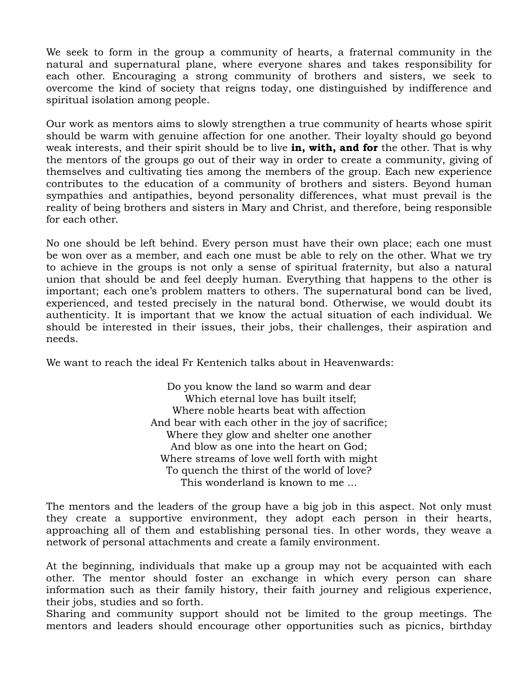We seek to form in the group a community of hearts, a fraternal community in the natural and supernatural plane, where everyone shares and takes responsibility for each other. Encouraging a strong community of brothers and sisters, we seek to overcome the kind of society that reigns today, one distinguished by indifference and spiritual isolation among people.

Our work as mentors aims to slowly strengthen a true community of hearts whose spirit should be warm with genuine affection for one another. Their loyalty should go beyond weak interests, and their spirit should be to live **in, with, and for** the other. That is why the mentors of the groups go out of their way in order to create a community, giving of themselves and cultivating ties among the members of the group. Each new experience contributes to the education of a community of brothers and sisters. Beyond human sympathies and antipathies, beyond personality differences, what must prevail is the reality of being brothers and sisters in Mary and Christ, and therefore, being responsible for each other.

No one should be left behind. Every person must have their own place; each one must be won over as a member, and each one must be able to rely on the other. What we try to achieve in the groups is not only a sense of spiritual fraternity, but also a natural union that should be and feel deeply human. Everything that happens to the other is important; each one's problem matters to others. The supernatural bond can be lived, experienced, and tested precisely in the natural bond. Otherwise, we would doubt its authenticity. It is important that we know the actual situation of each individual. We should be interested in their issues, their jobs, their challenges, their aspiration and needs.

We want to reach the ideal Fr Kentenich talks about in Heavenwards:

Do you know the land so warm and dear Which eternal love has built itself; Where noble hearts beat with affection And bear with each other in the joy of sacrifice; Where they glow and shelter one another And blow as one into the heart on God; Where streams of love well forth with might To quench the thirst of the world of love? This wonderland is known to me ...

The mentors and the leaders of the group have a big job in this aspect. Not only must they create a supportive environment, they adopt each person in their hearts, approaching all of them and establishing personal ties. In other words, they weave a network of personal attachments and create a family environment.

At the beginning, individuals that make up a group may not be acquainted with each other. The mentor should foster an exchange in which every person can share information such as their family history, their faith journey and religious experience, their jobs, studies and so forth.

Sharing and community support should not be limited to the group meetings. The mentors and leaders should encourage other opportunities such as picnics, birthday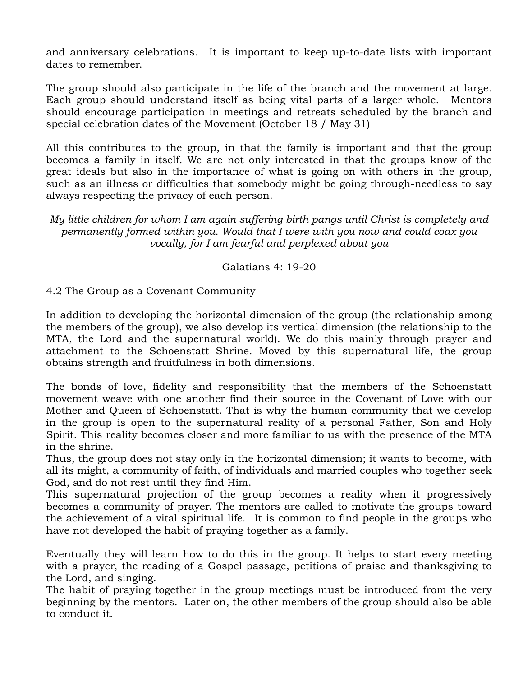and anniversary celebrations. It is important to keep up-to-date lists with important dates to remember.

The group should also participate in the life of the branch and the movement at large. Each group should understand itself as being vital parts of a larger whole. Mentors should encourage participation in meetings and retreats scheduled by the branch and special celebration dates of the Movement (October 18 / May 31)

All this contributes to the group, in that the family is important and that the group becomes a family in itself. We are not only interested in that the groups know of the great ideals but also in the importance of what is going on with others in the group, such as an illness or difficulties that somebody might be going through-needless to say always respecting the privacy of each person.

*My little children for whom I am again suffering birth pangs until Christ is completely and permanently formed within you. Would that I were with you now and could coax you vocally, for I am fearful and perplexed about you*

Galatians 4: 19-20

4.2 The Group as a Covenant Community

In addition to developing the horizontal dimension of the group (the relationship among the members of the group), we also develop its vertical dimension (the relationship to the MTA, the Lord and the supernatural world). We do this mainly through prayer and attachment to the Schoenstatt Shrine. Moved by this supernatural life, the group obtains strength and fruitfulness in both dimensions.

The bonds of love, fidelity and responsibility that the members of the Schoenstatt movement weave with one another find their source in the Covenant of Love with our Mother and Queen of Schoenstatt. That is why the human community that we develop in the group is open to the supernatural reality of a personal Father, Son and Holy Spirit. This reality becomes closer and more familiar to us with the presence of the MTA in the shrine.

Thus, the group does not stay only in the horizontal dimension; it wants to become, with all its might, a community of faith, of individuals and married couples who together seek God, and do not rest until they find Him.

This supernatural projection of the group becomes a reality when it progressively becomes a community of prayer. The mentors are called to motivate the groups toward the achievement of a vital spiritual life. It is common to find people in the groups who have not developed the habit of praying together as a family.

Eventually they will learn how to do this in the group. It helps to start every meeting with a prayer, the reading of a Gospel passage, petitions of praise and thanksgiving to the Lord, and singing.

The habit of praying together in the group meetings must be introduced from the very beginning by the mentors. Later on, the other members of the group should also be able to conduct it.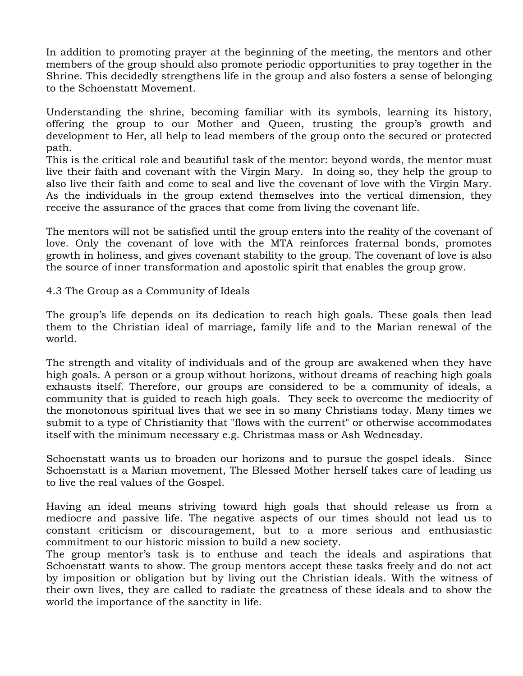In addition to promoting prayer at the beginning of the meeting, the mentors and other members of the group should also promote periodic opportunities to pray together in the Shrine. This decidedly strengthens life in the group and also fosters a sense of belonging to the Schoenstatt Movement.

Understanding the shrine, becoming familiar with its symbols, learning its history, offering the group to our Mother and Queen, trusting the group's growth and development to Her, all help to lead members of the group onto the secured or protected path.

This is the critical role and beautiful task of the mentor: beyond words, the mentor must live their faith and covenant with the Virgin Mary. In doing so, they help the group to also live their faith and come to seal and live the covenant of love with the Virgin Mary. As the individuals in the group extend themselves into the vertical dimension, they receive the assurance of the graces that come from living the covenant life.

The mentors will not be satisfied until the group enters into the reality of the covenant of love. Only the covenant of love with the MTA reinforces fraternal bonds, promotes growth in holiness, and gives covenant stability to the group. The covenant of love is also the source of inner transformation and apostolic spirit that enables the group grow.

4.3 The Group as a Community of Ideals

The group's life depends on its dedication to reach high goals. These goals then lead them to the Christian ideal of marriage, family life and to the Marian renewal of the world.

The strength and vitality of individuals and of the group are awakened when they have high goals. A person or a group without horizons, without dreams of reaching high goals exhausts itself. Therefore, our groups are considered to be a community of ideals, a community that is guided to reach high goals. They seek to overcome the mediocrity of the monotonous spiritual lives that we see in so many Christians today. Many times we submit to a type of Christianity that "flows with the current" or otherwise accommodates itself with the minimum necessary e.g. Christmas mass or Ash Wednesday.

Schoenstatt wants us to broaden our horizons and to pursue the gospel ideals. Since Schoenstatt is a Marian movement, The Blessed Mother herself takes care of leading us to live the real values of the Gospel.

Having an ideal means striving toward high goals that should release us from a mediocre and passive life. The negative aspects of our times should not lead us to constant criticism or discouragement, but to a more serious and enthusiastic commitment to our historic mission to build a new society.

The group mentor's task is to enthuse and teach the ideals and aspirations that Schoenstatt wants to show. The group mentors accept these tasks freely and do not act by imposition or obligation but by living out the Christian ideals. With the witness of their own lives, they are called to radiate the greatness of these ideals and to show the world the importance of the sanctity in life.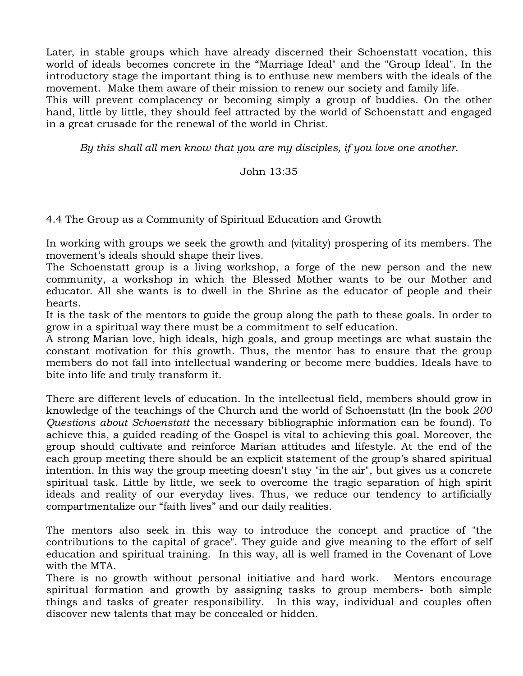Later, in stable groups which have already discerned their Schoenstatt vocation, this world of ideals becomes concrete in the "Marriage Ideal" and the "Group Ideal". In the introductory stage the important thing is to enthuse new members with the ideals of the movement. Make them aware of their mission to renew our society and family life.

This will prevent complacency or becoming simply a group of buddies. On the other hand, little by little, they should feel attracted by the world of Schoenstatt and engaged in a great crusade for the renewal of the world in Christ.

*By this shall all men know that you are my disciples, if you love one another.*

#### John 13:35

4.4 The Group as a Community of Spiritual Education and Growth

In working with groups we seek the growth and (vitality) prospering of its members. The movement's ideals should shape their lives.

The Schoenstatt group is a living workshop, a forge of the new person and the new community, a workshop in which the Blessed Mother wants to be our Mother and educator. All she wants is to dwell in the Shrine as the educator of people and their hearts.

It is the task of the mentors to guide the group along the path to these goals. In order to grow in a spiritual way there must be a commitment to self education.

A strong Marian love, high ideals, high goals, and group meetings are what sustain the constant motivation for this growth. Thus, the mentor has to ensure that the group members do not fall into intellectual wandering or become mere buddies. Ideals have to bite into life and truly transform it.

There are different levels of education. In the intellectual field, members should grow in knowledge of the teachings of the Church and the world of Schoenstatt (In the book *200 Questions about Schoenstatt* the necessary bibliographic information can be found). To achieve this, a guided reading of the Gospel is vital to achieving this goal. Moreover, the group should cultivate and reinforce Marian attitudes and lifestyle. At the end of the each group meeting there should be an explicit statement of the group's shared spiritual intention. In this way the group meeting doesn't stay "in the air", but gives us a concrete spiritual task. Little by little, we seek to overcome the tragic separation of high spirit ideals and reality of our everyday lives. Thus, we reduce our tendency to artificially compartmentalize our "faith lives" and our daily realities.

The mentors also seek in this way to introduce the concept and practice of "the contributions to the capital of grace". They guide and give meaning to the effort of self education and spiritual training. In this way, all is well framed in the Covenant of Love with the MTA.

There is no growth without personal initiative and hard work. Mentors encourage spiritual formation and growth by assigning tasks to group members- both simple things and tasks of greater responsibility. In this way, individual and couples often discover new talents that may be concealed or hidden.